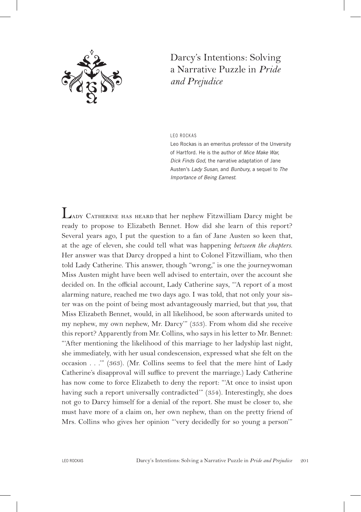

## Darcy's Intentions: Solving a Narrative Puzzle in *Pride and Prejudice*

Leo RoCkA S

Leo Rockas is an emeritus professor of the Unversity of hartford. he is the author of *Mice Make War*, *Dick Finds God*, the narrative adaptation of Jane Austen's *Lady Susan*, and *Bunbury*, a sequel to *The Importance of Being Earnest*.

Lady Catherine has heard that her nephew Fitzwilliam Darcy might be ready to propose to Elizabeth Bennet. How did she learn of this report? Several years ago, I put the question to a fan of Jane Austen so keen that, at the age of eleven, she could tell what was happening *between the chapters*. Her answer was that Darcy dropped a hint to Colonel Fitzwilliam, who then told Lady Catherine. This answer, though "wrong," is one the journeywoman Miss Austen might have been well advised to entertain, over the account she decided on. In the official account, Lady Catherine says, "A report of a most alarming nature, reached me two days ago. I was told, that not only your sister was on the point of being most advantageously married, but that *you*, that Miss Elizabeth Bennet, would, in all likelihood, be soon afterwards united to my nephew, my own nephew, Mr. Darcy'" (353). From whom did she receive this report? Apparently from Mr. Collins, who says in his letter to Mr. Bennet: "'After mentioning the likelihood of this marriage to her ladyship last night, she immediately, with her usual condescension, expressed what she felt on the occasion . . .'" (363). (Mr. Collins seems to feel that the mere hint of Lady Catherine's disapproval will suffice to prevent the marriage.) Lady Catherine has now come to force Elizabeth to deny the report: "'At once to insist upon having such a report universally contradicted'" (354). Interestingly, she does not go to Darcy himself for a denial of the report. She must be closer to, she must have more of a claim on, her own nephew, than on the pretty friend of Mrs. Collins who gives her opinion "'very decidedly for so young a person'"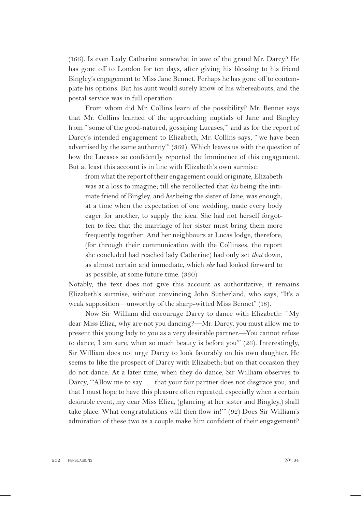(166). Is even Lady Catherine somewhat in awe of the grand Mr. Darcy? He has gone off to London for ten days, after giving his blessing to his friend Bingley's engagement to Miss Jane Bennet. Perhaps he has gone off to contemplate his options. But his aunt would surely know of his whereabouts, and the postal service was in full operation.

From whom did Mr. Collins learn of the possibility? Mr. Bennet says that Mr. Collins learned of the approaching nuptials of Jane and Bingley from "'some of the good-natured, gossiping Lucases,'" and as for the report of Darcy's intended engagement to Elizabeth, Mr. Collins says, "'we have been advertised by the same authority'" (362). Which leaves us with the question of how the Lucases so confidently reported the imminence of this engagement. But at least this account is in line with Elizabeth's own surmise:

from what the report of their engagement could originate, Elizabeth was at a loss to imagine; till she recollected that *his* being the intimate friend of Bingley, and *her* being the sister of Jane, was enough, at a time when the expectation of one wedding, made every body eager for another, to supply the idea. She had not herself forgotten to feel that the marriage of her sister must bring them more frequently together. And her neighbours at Lucas lodge, therefore, (for through their communication with the Collinses, the report she concluded had reached lady Catherine) had only set *that* down, as almost certain and immediate, which *she* had looked forward to as possible, at some future time. (360)

Notably, the text does not give this account as authoritative; it remains Elizabeth's surmise, without convincing John Sutherland, who says, "It's a weak supposition—unworthy of the sharp-witted Miss Bennet" (18).

Now Sir William did encourage Darcy to dance with Elizabeth: "'My dear Miss Eliza, why are not you dancing?—Mr. Darcy, you must allow me to present this young lady to you as a very desirable partner.—You cannot refuse to dance, I am sure, when so much beauty is before you'" (26). Interestingly, Sir William does not urge Darcy to look favorably on his own daughter. He seems to like the prospect of Darcy with Elizabeth; but on that occasion they do not dance. At a later time, when they do dance, Sir William observes to Darcy, "'Allow me to say . . . that your fair partner does not disgrace you, and that I must hope to have this pleasure often repeated, especially when a certain desirable event, my dear Miss Eliza, (glancing at her sister and Bingley,) shall take place. What congratulations will then flow in!'" (92) Does Sir William's admiration of these two as a couple make him confident of their engagement?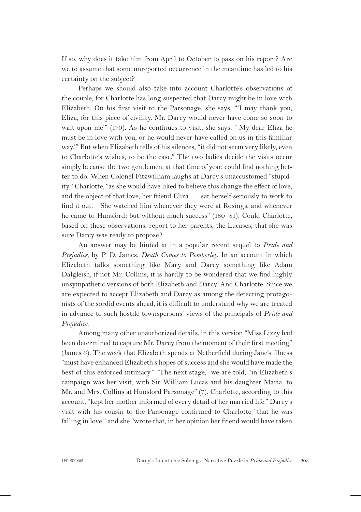If so, why does it take him from April to October to pass on his report? Are we to assume that some unreported occurrence in the meantime has led to his certainty on the subject?

Perhaps we should also take into account Charlotte's observations of the couple, for Charlotte has long suspected that Darcy might be in love with Elizabeth. On his first visit to the Parsonage, she says, "'I may thank you, Eliza, for this piece of civility. Mr. Darcy would never have come so soon to wait upon me'" (170). As he continues to visit, she says, "'My dear Eliza he must be in love with you, or he would never have called on us in this familiar way.'" But when Elizabeth tells of his silences, "it did not seem very likely, even to Charlotte's wishes, to be the case." The two ladies decide the visits occur simply because the two gentlemen, at that time of year, could find nothing better to do. When Colonel Fitzwilliam laughs at Darcy's unaccustomed "stupidity," Charlotte, "as she would have liked to believe this change the effect of love, and the object of that love, her friend Eliza . . . sat herself seriously to work to find it out.—She watched him whenever they were at Rosings, and whenever he came to Hunsford; but without much success" (180–81). Could Charlotte, based on these observations, report to her parents, the Lucases, that she was sure Darcy was ready to propose?

An answer may be hinted at in a popular recent sequel to *Pride and Prejudice*, by P. D. James, *Death Comes to Pemberley*. In an account in which Elizabeth talks something like Mary and Darcy something like Adam Dalgleish, if not Mr. Collins, it is hardly to be wondered that we find highly unsympathetic versions of both Elizabeth and Darcy. And Charlotte. Since we are expected to accept Elizabeth and Darcy as among the detecting protagonists of the sordid events ahead, it is difficult to understand why we are treated in advance to such hostile townspersons' views of the principals of *Pride and Prejudice*.

Among many other unauthorized details, in this version "Miss Lizzy had been determined to capture Mr. Darcy from the moment of their first meeting" (James 6). The week that Elizabeth spends at Netherfield during Jane's illness "must have enhanced Elizabeth's hopes of success and she would have made the best of this enforced intimacy." "The next stage," we are told, "in Elizabeth's campaign was her visit, with Sir William Lucas and his daughter Maria, to Mr. and Mrs. Collins at Hunsford Parsonage" (7). Charlotte, according to this account, "kept her mother informed of every detail of her married life." Darcy's visit with his cousin to the Parsonage confirmed to Charlotte "that he was falling in love," and she "wrote that, in her opinion her friend would have taken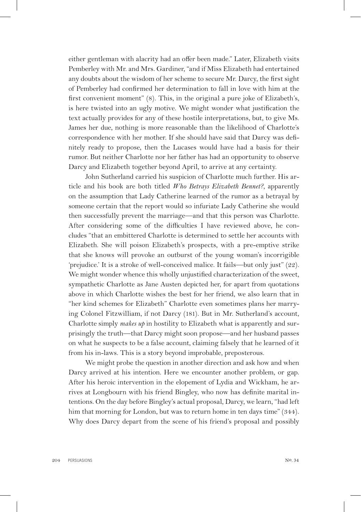either gentleman with alacrity had an offer been made." Later, Elizabeth visits Pemberley with Mr. and Mrs. Gardiner, "and if Miss Elizabeth had entertained any doubts about the wisdom of her scheme to secure Mr. Darcy, the first sight of Pemberley had confirmed her determination to fall in love with him at the first convenient moment" (8). This, in the original a pure joke of Elizabeth's, is here twisted into an ugly motive. We might wonder what justification the text actually provides for any of these hostile interpretations, but, to give Ms. James her due, nothing is more reasonable than the likelihood of Charlotte's correspondence with her mother. If she should have said that Darcy was definitely ready to propose, then the Lucases would have had a basis for their rumor. But neither Charlotte nor her father has had an opportunity to observe Darcy and Elizabeth together beyond April, to arrive at any certainty.

John Sutherland carried his suspicion of Charlotte much further. His article and his book are both titled *Who Betrays Elizabeth Bennet?*, apparently on the assumption that Lady Catherine learned of the rumor as a betrayal by someone certain that the report would so infuriate Lady Catherine she would then successfully prevent the marriage—and that this person was Charlotte. After considering some of the difficulties I have reviewed above, he concludes "that an embittered Charlotte is determined to settle her accounts with Elizabeth. She will poison Elizabeth's prospects, with a pre-emptive strike that she knows will provoke an outburst of the young woman's incorrigible 'prejudice.' It is a stroke of well-conceived malice. It fails—but only just" (22). We might wonder whence this wholly unjustified characterization of the sweet, sympathetic Charlotte as Jane Austen depicted her, for apart from quotations above in which Charlotte wishes the best for her friend, we also learn that in "her kind schemes for Elizabeth" Charlotte even sometimes plans her marrying Colonel Fitzwilliam, if not Darcy (181). But in Mr. Sutherland's account, Charlotte simply *makes up* in hostility to Elizabeth what is apparently and surprisingly the truth—that Darcy might soon propose—and her husband passes on what he suspects to be a false account, claiming falsely that he learned of it from his in-laws. This is a story beyond improbable, preposterous.

We might probe the question in another direction and ask how and when Darcy arrived at his intention. Here we encounter another problem, or gap. After his heroic intervention in the elopement of Lydia and Wickham, he arrives at Longbourn with his friend Bingley, who now has definite marital intentions. On the day before Bingley's actual proposal, Darcy, we learn, "had left him that morning for London, but was to return home in ten days time" (344). Why does Darcy depart from the scene of his friend's proposal and possibly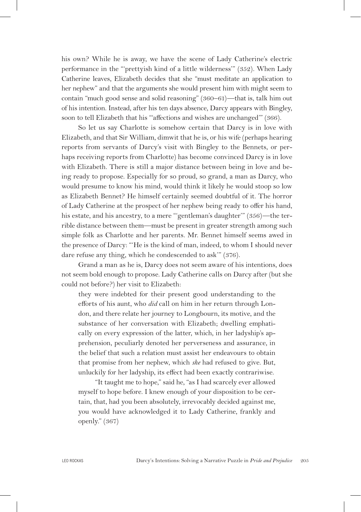his own? While he is away, we have the scene of Lady Catherine's electric performance in the "'prettyish kind of a little wilderness'" (352). When Lady Catherine leaves, Elizabeth decides that she "must meditate an application to her nephew" and that the arguments she would present him with might seem to contain "much good sense and solid reasoning" (360–61)—that is, talk him out of his intention. Instead, after his ten days absence, Darcy appears with Bingley, soon to tell Elizabeth that his ""affections and wishes are unchanged" (366).

So let us say Charlotte is somehow certain that Darcy is in love with Elizabeth, and that Sir William, dimwit that he is, or his wife (perhaps hearing reports from servants of Darcy's visit with Bingley to the Bennets, or perhaps receiving reports from Charlotte) has become convinced Darcy is in love with Elizabeth. There is still a major distance between being in love and being ready to propose. Especially for so proud, so grand, a man as Darcy, who would presume to know his mind, would think it likely he would stoop so low as Elizabeth Bennet? He himself certainly seemed doubtful of it. The horror of Lady Catherine at the prospect of her nephew being ready to offer his hand, his estate, and his ancestry, to a mere "'gentleman's daughter'" (356)—the terrible distance between them—must be present in greater strength among such simple folk as Charlotte and her parents. Mr. Bennet himself seems awed in the presence of Darcy: "'He is the kind of man, indeed, to whom I should never dare refuse any thing, which he condescended to ask'" (376).

Grand a man as he is, Darcy does not seem aware of his intentions, does not seem bold enough to propose. Lady Catherine calls on Darcy after (but she could not before?) her visit to Elizabeth:

they were indebted for their present good understanding to the efforts of his aunt, who *did* call on him in her return through London, and there relate her journey to Longbourn, its motive, and the substance of her conversation with Elizabeth; dwelling emphatically on every expression of the latter, which, in her ladyship's apprehension, peculiarly denoted her perverseness and assurance, in the belief that such a relation must assist her endeavours to obtain that promise from her nephew, which *she* had refused to give. But, unluckily for her ladyship, its effect had been exactly contrariwise.

"It taught me to hope," said he, "as I had scarcely ever allowed myself to hope before. I knew enough of your disposition to be certain, that, had you been absolutely, irrevocably decided against me, you would have acknowledged it to Lady Catherine, frankly and openly." (367)